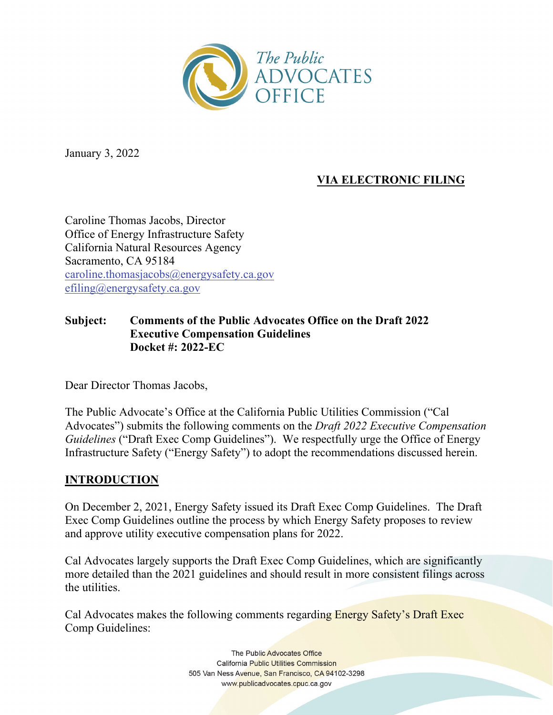

January 3, 2022

# **VIA ELECTRONIC FILING**

Caroline Thomas Jacobs, Director Office of Energy Infrastructure Safety California Natural Resources Agency Sacramento, CA 95184 caroline.thomasjacobs@energysafety.ca.gov efiling@energysafety.ca.gov

#### **Subject: Comments of the Public Advocates Office on the Draft 2022 Executive Compensation Guidelines Docket #: 2022-EC**

Dear Director Thomas Jacobs,

The Public Advocate's Office at the California Public Utilities Commission ("Cal Advocates") submits the following comments on the *Draft 2022 Executive Compensation Guidelines* ("Draft Exec Comp Guidelines"). We respectfully urge the Office of Energy Infrastructure Safety ("Energy Safety") to adopt the recommendations discussed herein.

#### **INTRODUCTION**

On December 2, 2021, Energy Safety issued its Draft Exec Comp Guidelines. The Draft Exec Comp Guidelines outline the process by which Energy Safety proposes to review and approve utility executive compensation plans for 2022.

Cal Advocates largely supports the Draft Exec Comp Guidelines, which are significantly more detailed than the 2021 guidelines and should result in more consistent filings across the utilities.

Cal Advocates makes the following comments regarding Energy Safety's Draft Exec Comp Guidelines:

> The Public Advocates Office **California Public Utilities Commission** 505 Van Ness Avenue, San Francisco, CA 94102-3298 www.publicadvocates.cpuc.ca.gov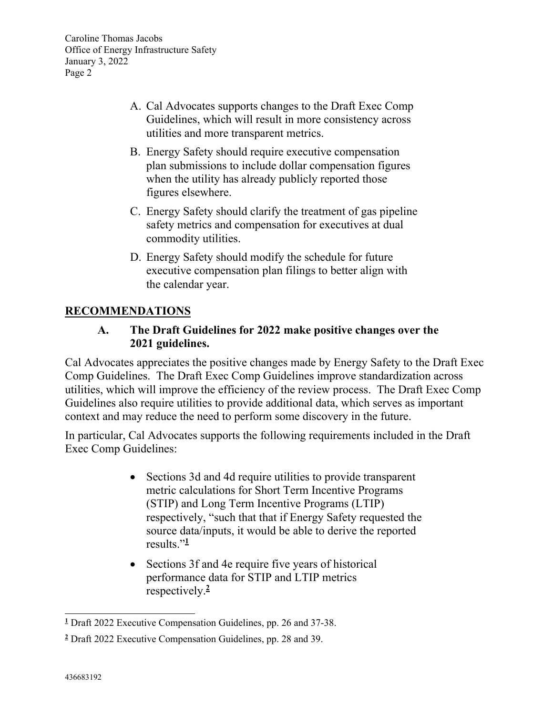- A. Cal Advocates supports changes to the Draft Exec Comp Guidelines, which will result in more consistency across utilities and more transparent metrics.
- B. Energy Safety should require executive compensation plan submissions to include dollar compensation figures when the utility has already publicly reported those figures elsewhere.
- C. Energy Safety should clarify the treatment of gas pipeline safety metrics and compensation for executives at dual commodity utilities.
- D. Energy Safety should modify the schedule for future executive compensation plan filings to better align with the calendar year.

## **RECOMMENDATIONS**

#### **A. The Draft Guidelines for 2022 make positive changes over the 2021 guidelines.**

Cal Advocates appreciates the positive changes made by Energy Safety to the Draft Exec Comp Guidelines. The Draft Exec Comp Guidelines improve standardization across utilities, which will improve the efficiency of the review process. The Draft Exec Comp Guidelines also require utilities to provide additional data, which serves as important context and may reduce the need to perform some discovery in the future.

In particular, Cal Advocates supports the following requirements included in the Draft Exec Comp Guidelines:

- Sections 3d and 4d require utilities to provide transparent metric calculations for Short Term Incentive Programs (STIP) and Long Term Incentive Programs (LTIP) respectively, "such that that if Energy Safety requested the source data/inputs, it would be able to derive the reported results."**<sup>1</sup>**
- Sections 3f and 4e require five years of historical performance data for STIP and LTIP metrics respectively.**<sup>2</sup>**

**<sup>1</sup>** Draft 2022 Executive Compensation Guidelines, pp. 26 and 37-38.

**<sup>2</sup>** Draft 2022 Executive Compensation Guidelines, pp. 28 and 39.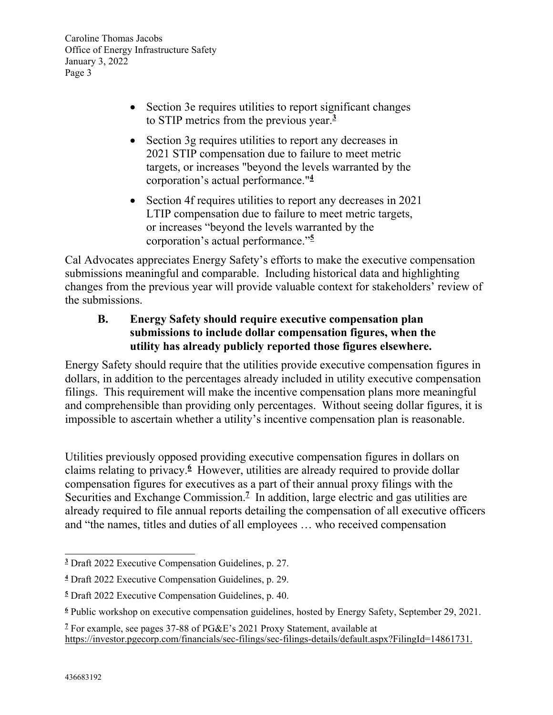- Section 3e requires utilities to report significant changes to STIP metrics from the previous year.**<sup>3</sup>**
- Section 3g requires utilities to report any decreases in 2021 STIP compensation due to failure to meet metric targets, or increases "beyond the levels warranted by the corporation's actual performance."**<sup>4</sup>**
- Section 4f requires utilities to report any decreases in 2021 LTIP compensation due to failure to meet metric targets, or increases "beyond the levels warranted by the corporation's actual performance."**<sup>5</sup>**

Cal Advocates appreciates Energy Safety's efforts to make the executive compensation submissions meaningful and comparable. Including historical data and highlighting changes from the previous year will provide valuable context for stakeholders' review of the submissions.

## **B. Energy Safety should require executive compensation plan submissions to include dollar compensation figures, when the utility has already publicly reported those figures elsewhere.**

Energy Safety should require that the utilities provide executive compensation figures in dollars, in addition to the percentages already included in utility executive compensation filings. This requirement will make the incentive compensation plans more meaningful and comprehensible than providing only percentages. Without seeing dollar figures, it is impossible to ascertain whether a utility's incentive compensation plan is reasonable.

Utilities previously opposed providing executive compensation figures in dollars on claims relating to privacy.**<sup>6</sup>** However, utilities are already required to provide dollar compensation figures for executives as a part of their annual proxy filings with the Securities and Exchange Commission.<sup>7</sup> In addition, large electric and gas utilities are already required to file annual reports detailing the compensation of all executive officers and "the names, titles and duties of all employees … who received compensation

**<sup>3</sup>** Draft 2022 Executive Compensation Guidelines, p. 27.

**<sup>4</sup>** Draft 2022 Executive Compensation Guidelines, p. 29.

**<sup>5</sup>** Draft 2022 Executive Compensation Guidelines, p. 40.

**<sup>6</sup>** Public workshop on executive compensation guidelines, hosted by Energy Safety, September 29, 2021.

<sup>&</sup>lt;sup>7</sup> For example, see pages 37-88 of PG&E's 2021 Proxy Statement, available at https://investor.pgecorp.com/financials/sec-filings/sec-filings-details/default.aspx?FilingId=14861731.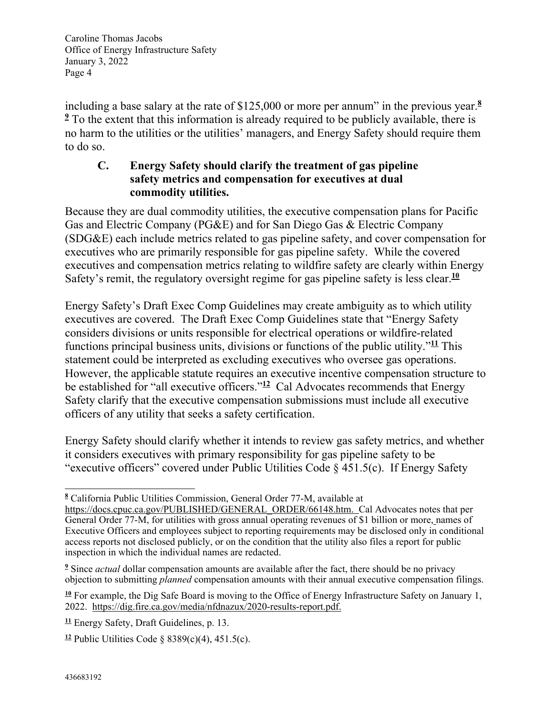including a base salary at the rate of \$125,000 or more per annum" in the previous year.**<sup>8</sup>** <sup>2</sup> To the extent that this information is already required to be publicly available, there is no harm to the utilities or the utilities' managers, and Energy Safety should require them to do so.

#### **C. Energy Safety should clarify the treatment of gas pipeline safety metrics and compensation for executives at dual commodity utilities.**

Because they are dual commodity utilities, the executive compensation plans for Pacific Gas and Electric Company (PG&E) and for San Diego Gas & Electric Company (SDG&E) each include metrics related to gas pipeline safety, and cover compensation for executives who are primarily responsible for gas pipeline safety. While the covered executives and compensation metrics relating to wildfire safety are clearly within Energy Safety's remit, the regulatory oversight regime for gas pipeline safety is less clear.**<sup>10</sup>**

Energy Safety's Draft Exec Comp Guidelines may create ambiguity as to which utility executives are covered. The Draft Exec Comp Guidelines state that "Energy Safety considers divisions or units responsible for electrical operations or wildfire-related functions principal business units, divisions or functions of the public utility."**<sup>11</sup>** This statement could be interpreted as excluding executives who oversee gas operations. However, the applicable statute requires an executive incentive compensation structure to be established for "all executive officers."**<sup>12</sup>** Cal Advocates recommends that Energy Safety clarify that the executive compensation submissions must include all executive officers of any utility that seeks a safety certification.

Energy Safety should clarify whether it intends to review gas safety metrics, and whether it considers executives with primary responsibility for gas pipeline safety to be "executive officers" covered under Public Utilities Code § 451.5(c). If Energy Safety

**<sup>8</sup>** California Public Utilities Commission, General Order 77-M, available at

https://docs.cpuc.ca.gov/PUBLISHED/GENERAL\_ORDER/66148.htm. Cal Advocates notes that per General Order 77-M, for utilities with gross annual operating revenues of \$1 billion or more, names of Executive Officers and employees subject to reporting requirements may be disclosed only in conditional access reports not disclosed publicly, or on the condition that the utility also files a report for public inspection in which the individual names are redacted.

**<sup>9</sup>** Since *actual* dollar compensation amounts are available after the fact, there should be no privacy objection to submitting *planned* compensation amounts with their annual executive compensation filings.

**<sup>10</sup>** For example, the Dig Safe Board is moving to the Office of Energy Infrastructure Safety on January 1, 2022. https://dig.fire.ca.gov/media/nfdnazux/2020-results-report.pdf.

**<sup>11</sup>** Energy Safety, Draft Guidelines, p. 13.

**<sup>12</sup>** Public Utilities Code § 8389(c)(4), 451.5(c).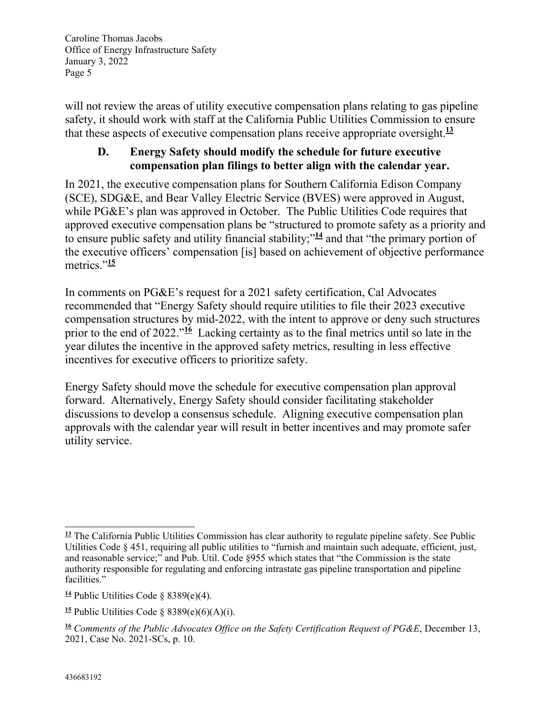will not review the areas of utility executive compensation plans relating to gas pipeline safety, it should work with staff at the California Public Utilities Commission to ensure that these aspects of executive compensation plans receive appropriate oversight.**<sup>13</sup>**

#### **D. Energy Safety should modify the schedule for future executive compensation plan filings to better align with the calendar year.**

In 2021, the executive compensation plans for Southern California Edison Company (SCE), SDG&E, and Bear Valley Electric Service (BVES) were approved in August, while PG&E's plan was approved in October. The Public Utilities Code requires that approved executive compensation plans be "structured to promote safety as a priority and to ensure public safety and utility financial stability;"**<sup>14</sup>** and that "the primary portion of the executive officers' compensation [is] based on achievement of objective performance metrics."<sup>15</sup>

In comments on PG&E's request for a 2021 safety certification, Cal Advocates recommended that "Energy Safety should require utilities to file their 2023 executive compensation structures by mid-2022, with the intent to approve or deny such structures prior to the end of 2022."**<sup>16</sup>** Lacking certainty as to the final metrics until so late in the year dilutes the incentive in the approved safety metrics, resulting in less effective incentives for executive officers to prioritize safety.

Energy Safety should move the schedule for executive compensation plan approval forward. Alternatively, Energy Safety should consider facilitating stakeholder discussions to develop a consensus schedule. Aligning executive compensation plan approvals with the calendar year will result in better incentives and may promote safer utility service.

**<sup>13</sup>** The California Public Utilities Commission has clear authority to regulate pipeline safety. See Public Utilities Code § 451, requiring all public utilities to "furnish and maintain such adequate, efficient, just, and reasonable service;" and Pub. Util. Code §955 which states that "the Commission is the state authority responsible for regulating and enforcing intrastate gas pipeline transportation and pipeline facilities."

**<sup>14</sup>** Public Utilities Code § 8389(e)(4).

<sup>&</sup>lt;sup>15</sup> Public Utilities Code  $\S$  8389(e)(6)(A)(i).

**<sup>16</sup>** *Comments of the Public Advocates Office on the Safety Certification Request of PG&E*, December 13, 2021, Case No. 2021-SCs, p. 10.